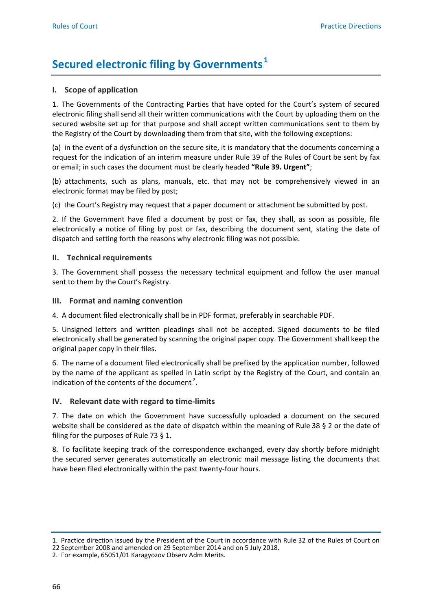# **Secured electronic filing by Governments**.<sup>1</sup>

## **I. Scope of application**

1. The Governments of the Contracting Parties that have opted for the Court's system of secured electronic filing shall send all their written communications with the Court by uploading them on the secured website set up for that purpose and shall accept written communications sent to them by the Registry of the Court by downloading them from that site, with the following exceptions:

(a) in the event of a dysfunction on the secure site, it is mandatory that the documents concerning a request for the indication of an interim measure under Rule 39 of the Rules of Court be sent by fax or email; in such cases the document must be clearly headed **"Rule 39. Urgent"**;

(b) attachments, such as plans, manuals, etc. that may not be comprehensively viewed in an electronic format may be filed by post;

(c) the Court's Registry may request that a paper document or attachment be submitted by post.

2. If the Government have filed a document by post or fax, they shall, as soon as possible, file electronically a notice of filing by post or fax, describing the document sent, stating the date of dispatch and setting forth the reasons why electronic filing was not possible.

#### **II. Technical requirements**

3. The Government shall possess the necessary technical equipment and follow the user manual sent to them by the Court's Registry.

## **III. Format and naming convention**

4. A document filed electronically shall be in PDF format, preferably in searchable PDF.

5. Unsigned letters and written pleadings shall not be accepted. Signed documents to be filed electronically shall be generated by scanning the original paper copy. The Government shall keep the original paper copy in their files.

6. The name of a document filed electronically shall be prefixed by the application number, followed by the name of the applicant as spelled in Latin script by the Registry of the Court, and contain an indication of the contents of the document.<sup>2</sup>.

#### **IV. Relevant date with regard to time-limits**

7. The date on which the Government have successfully uploaded a document on the secured website shall be considered as the date of dispatch within the meaning of Rule 38 § 2 or the date of filing for the purposes of Rule 73 § 1.

8. To facilitate keeping track of the correspondence exchanged, every day shortly before midnight the secured server generates automatically an electronic mail message listing the documents that have been filed electronically within the past twenty-four hours.

<sup>1.</sup> Practice direction issued by the President of the Court in accordance with Rule 32 of the Rules of Court on

<sup>22</sup> September 2008 and amended on 29 September 2014 and on 5 July 2018.

<sup>2.</sup> For example, 65051/01 Karagyozov Observ Adm Merits.